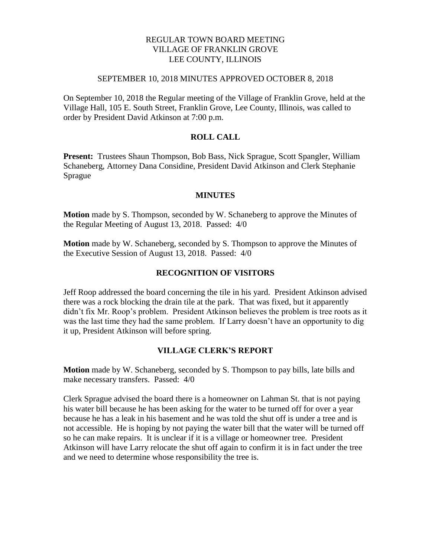# REGULAR TOWN BOARD MEETING VILLAGE OF FRANKLIN GROVE LEE COUNTY, ILLINOIS

#### SEPTEMBER 10, 2018 MINUTES APPROVED OCTOBER 8, 2018

On September 10, 2018 the Regular meeting of the Village of Franklin Grove, held at the Village Hall, 105 E. South Street, Franklin Grove, Lee County, Illinois, was called to order by President David Atkinson at 7:00 p.m.

### **ROLL CALL**

**Present:** Trustees Shaun Thompson, Bob Bass, Nick Sprague, Scott Spangler, William Schaneberg, Attorney Dana Considine, President David Atkinson and Clerk Stephanie Sprague

#### **MINUTES**

**Motion** made by S. Thompson, seconded by W. Schaneberg to approve the Minutes of the Regular Meeting of August 13, 2018. Passed: 4/0

**Motion** made by W. Schaneberg, seconded by S. Thompson to approve the Minutes of the Executive Session of August 13, 2018. Passed: 4/0

# **RECOGNITION OF VISITORS**

Jeff Roop addressed the board concerning the tile in his yard. President Atkinson advised there was a rock blocking the drain tile at the park. That was fixed, but it apparently didn't fix Mr. Roop's problem. President Atkinson believes the problem is tree roots as it was the last time they had the same problem. If Larry doesn't have an opportunity to dig it up, President Atkinson will before spring.

#### **VILLAGE CLERK'S REPORT**

**Motion** made by W. Schaneberg, seconded by S. Thompson to pay bills, late bills and make necessary transfers. Passed: 4/0

Clerk Sprague advised the board there is a homeowner on Lahman St. that is not paying his water bill because he has been asking for the water to be turned off for over a year because he has a leak in his basement and he was told the shut off is under a tree and is not accessible. He is hoping by not paying the water bill that the water will be turned off so he can make repairs. It is unclear if it is a village or homeowner tree. President Atkinson will have Larry relocate the shut off again to confirm it is in fact under the tree and we need to determine whose responsibility the tree is.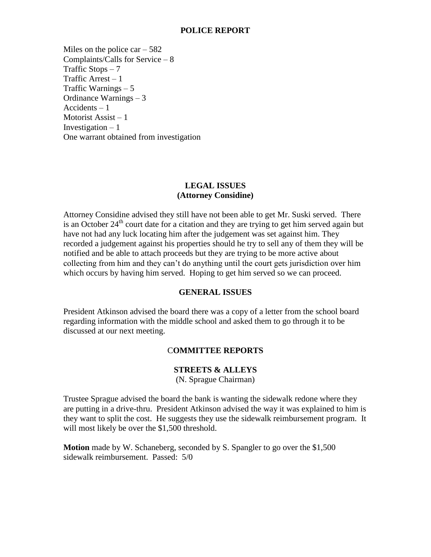### **POLICE REPORT**

Miles on the police car  $-582$ Complaints/Calls for Service – 8 Traffic Stops  $-7$ Traffic Arrest – 1 Traffic Warnings – 5 Ordinance Warnings – 3 Accidents – 1 Motorist Assist – 1 Investigation  $-1$ One warrant obtained from investigation

# **LEGAL ISSUES (Attorney Considine)**

Attorney Considine advised they still have not been able to get Mr. Suski served. There is an October  $24<sup>th</sup>$  court date for a citation and they are trying to get him served again but have not had any luck locating him after the judgement was set against him. They recorded a judgement against his properties should he try to sell any of them they will be notified and be able to attach proceeds but they are trying to be more active about collecting from him and they can't do anything until the court gets jurisdiction over him which occurs by having him served. Hoping to get him served so we can proceed.

#### **GENERAL ISSUES**

President Atkinson advised the board there was a copy of a letter from the school board regarding information with the middle school and asked them to go through it to be discussed at our next meeting.

# C**OMMITTEE REPORTS**

# **STREETS & ALLEYS**

(N. Sprague Chairman)

Trustee Sprague advised the board the bank is wanting the sidewalk redone where they are putting in a drive-thru. President Atkinson advised the way it was explained to him is they want to split the cost. He suggests they use the sidewalk reimbursement program. It will most likely be over the \$1,500 threshold.

**Motion** made by W. Schaneberg, seconded by S. Spangler to go over the \$1,500 sidewalk reimbursement. Passed: 5/0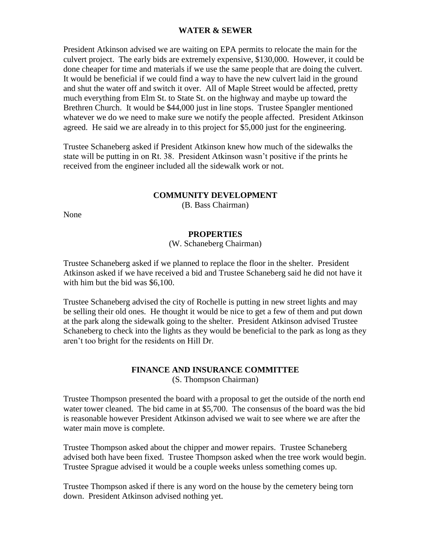# **WATER & SEWER**

President Atkinson advised we are waiting on EPA permits to relocate the main for the culvert project. The early bids are extremely expensive, \$130,000. However, it could be done cheaper for time and materials if we use the same people that are doing the culvert. It would be beneficial if we could find a way to have the new culvert laid in the ground and shut the water off and switch it over. All of Maple Street would be affected, pretty much everything from Elm St. to State St. on the highway and maybe up toward the Brethren Church. It would be \$44,000 just in line stops. Trustee Spangler mentioned whatever we do we need to make sure we notify the people affected. President Atkinson agreed. He said we are already in to this project for \$5,000 just for the engineering.

Trustee Schaneberg asked if President Atkinson knew how much of the sidewalks the state will be putting in on Rt. 38. President Atkinson wasn't positive if the prints he received from the engineer included all the sidewalk work or not.

#### **COMMUNITY DEVELOPMENT**

(B. Bass Chairman)

None

#### **PROPERTIES**

(W. Schaneberg Chairman)

Trustee Schaneberg asked if we planned to replace the floor in the shelter. President Atkinson asked if we have received a bid and Trustee Schaneberg said he did not have it with him but the bid was \$6,100.

Trustee Schaneberg advised the city of Rochelle is putting in new street lights and may be selling their old ones. He thought it would be nice to get a few of them and put down at the park along the sidewalk going to the shelter. President Atkinson advised Trustee Schaneberg to check into the lights as they would be beneficial to the park as long as they aren't too bright for the residents on Hill Dr.

### **FINANCE AND INSURANCE COMMITTEE** (S. Thompson Chairman)

Trustee Thompson presented the board with a proposal to get the outside of the north end water tower cleaned. The bid came in at \$5,700. The consensus of the board was the bid is reasonable however President Atkinson advised we wait to see where we are after the water main move is complete.

Trustee Thompson asked about the chipper and mower repairs. Trustee Schaneberg advised both have been fixed. Trustee Thompson asked when the tree work would begin. Trustee Sprague advised it would be a couple weeks unless something comes up.

Trustee Thompson asked if there is any word on the house by the cemetery being torn down. President Atkinson advised nothing yet.